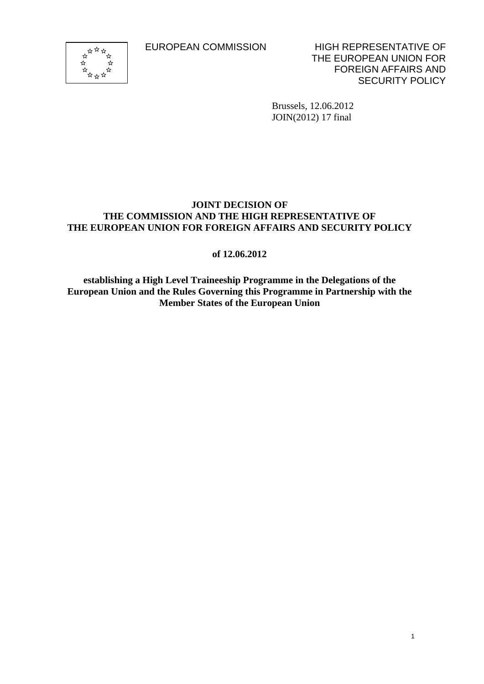

EUROPEAN COMMISSION HIGH REPRESENTATIVE OF THE EUROPEAN UNION FOR FOREIGN AFFAIRS AND SECURITY POLICY

1

Brussels, 12.06.2012 JOIN(2012) 17 final

# **JOINT DECISION OF THE COMMISSION AND THE HIGH REPRESENTATIVE OF THE EUROPEAN UNION FOR FOREIGN AFFAIRS AND SECURITY POLICY**

**of 12.06.2012** 

**establishing a High Level Traineeship Programme in the Delegations of the European Union and the Rules Governing this Programme in Partnership with the Member States of the European Union**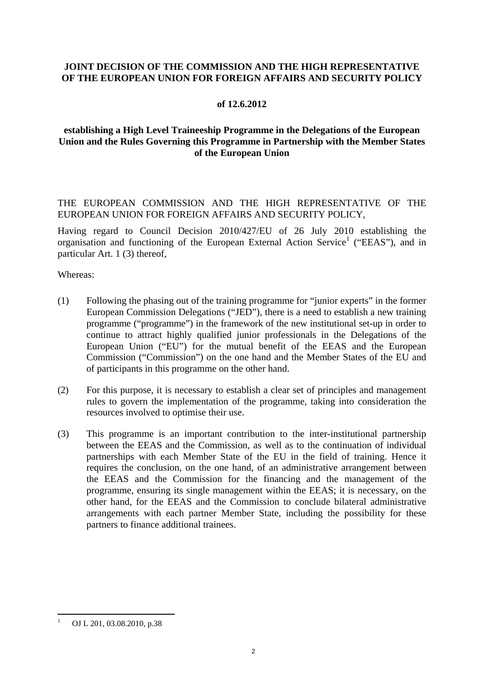## **JOINT DECISION OF THE COMMISSION AND THE HIGH REPRESENTATIVE OF THE EUROPEAN UNION FOR FOREIGN AFFAIRS AND SECURITY POLICY**

### **of 12.6.2012**

## **establishing a High Level Traineeship Programme in the Delegations of the European Union and the Rules Governing this Programme in Partnership with the Member States of the European Union**

THE EUROPEAN COMMISSION AND THE HIGH REPRESENTATIVE OF THE EUROPEAN UNION FOR FOREIGN AFFAIRS AND SECURITY POLICY,

Having regard to Council Decision 2010/427/EU of 26 July 2010 establishing the organisation and functioning of the European External Action Service<sup>1</sup> ("EEAS"), and in particular Art. 1 (3) thereof,

Whereas:

- (1) Following the phasing out of the training programme for "junior experts" in the former European Commission Delegations ("JED"), there is a need to establish a new training programme ("programme") in the framework of the new institutional set-up in order to continue to attract highly qualified junior professionals in the Delegations of the European Union ("EU") for the mutual benefit of the EEAS and the European Commission ("Commission") on the one hand and the Member States of the EU and of participants in this programme on the other hand.
- (2) For this purpose, it is necessary to establish a clear set of principles and management rules to govern the implementation of the programme, taking into consideration the resources involved to optimise their use.
- (3) This programme is an important contribution to the inter-institutional partnership between the EEAS and the Commission, as well as to the continuation of individual partnerships with each Member State of the EU in the field of training. Hence it requires the conclusion, on the one hand, of an administrative arrangement between the EEAS and the Commission for the financing and the management of the programme, ensuring its single management within the EEAS; it is necessary, on the other hand, for the EEAS and the Commission to conclude bilateral administrative arrangements with each partner Member State, including the possibility for these partners to finance additional trainees.

1

<sup>1</sup> OJ L 201, 03.08.2010, p.38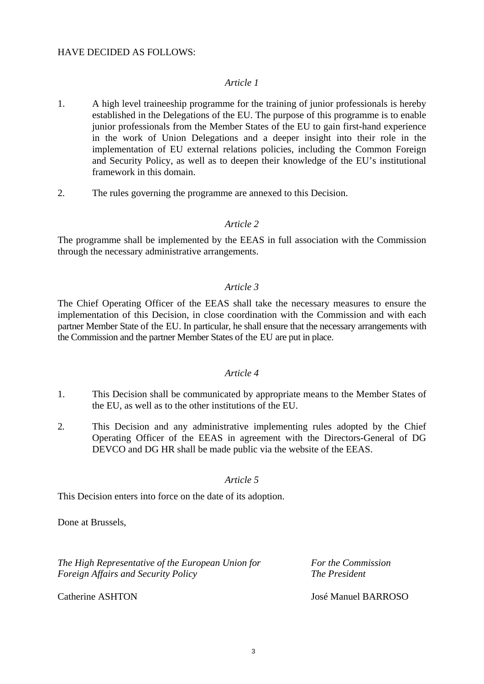#### HAVE DECIDED AS FOLLOWS:

#### *Article 1*

- 1. A high level traineeship programme for the training of junior professionals is hereby established in the Delegations of the EU. The purpose of this programme is to enable junior professionals from the Member States of the EU to gain first-hand experience in the work of Union Delegations and a deeper insight into their role in the implementation of EU external relations policies, including the Common Foreign and Security Policy, as well as to deepen their knowledge of the EU's institutional framework in this domain.
- 2. The rules governing the programme are annexed to this Decision.

### *Article 2*

The programme shall be implemented by the EEAS in full association with the Commission through the necessary administrative arrangements.

#### *Article 3*

The Chief Operating Officer of the EEAS shall take the necessary measures to ensure the implementation of this Decision, in close coordination with the Commission and with each partner Member State of the EU. In particular, he shall ensure that the necessary arrangements with the Commission and the partner Member States of the EU are put in place.

### *Article 4*

- 1. This Decision shall be communicated by appropriate means to the Member States of the EU, as well as to the other institutions of the EU.
- 2. This Decision and any administrative implementing rules adopted by the Chief Operating Officer of the EEAS in agreement with the Directors-General of DG DEVCO and DG HR shall be made public via the website of the EEAS.

### *Article 5*

This Decision enters into force on the date of its adoption.

Done at Brussels,

*The High Representative of the European Union for* For the Commission *Foreign Affairs and Security Policy* **The President The President** 

Catherine ASHTON José Manuel BARROSO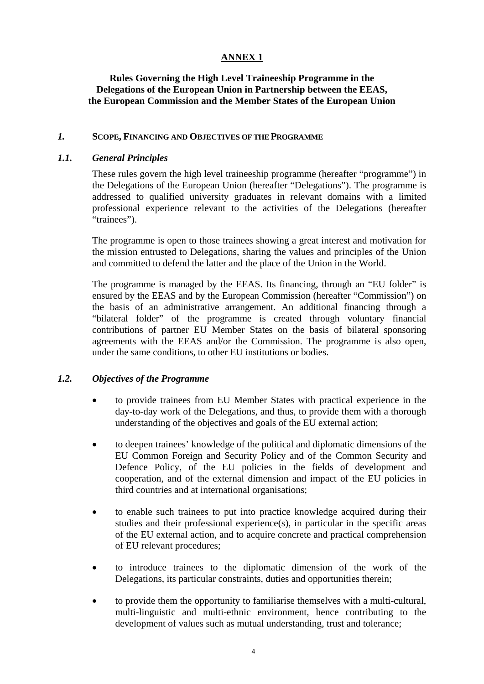## **ANNEX 1**

## **Rules Governing the High Level Traineeship Programme in the Delegations of the European Union in Partnership between the EEAS, the European Commission and the Member States of the European Union**

### *1.* **SCOPE, FINANCING AND OBJECTIVES OF THE PROGRAMME**

### *1.1. General Principles*

These rules govern the high level traineeship programme (hereafter "programme") in the Delegations of the European Union (hereafter "Delegations"). The programme is addressed to qualified university graduates in relevant domains with a limited professional experience relevant to the activities of the Delegations (hereafter "trainees").

The programme is open to those trainees showing a great interest and motivation for the mission entrusted to Delegations, sharing the values and principles of the Union and committed to defend the latter and the place of the Union in the World.

The programme is managed by the EEAS. Its financing, through an "EU folder" is ensured by the EEAS and by the European Commission (hereafter "Commission") on the basis of an administrative arrangement. An additional financing through a "bilateral folder" of the programme is created through voluntary financial contributions of partner EU Member States on the basis of bilateral sponsoring agreements with the EEAS and/or the Commission. The programme is also open, under the same conditions, to other EU institutions or bodies.

## *1.2. Objectives of the Programme*

- to provide trainees from EU Member States with practical experience in the day-to-day work of the Delegations, and thus, to provide them with a thorough understanding of the objectives and goals of the EU external action;
- to deepen trainees' knowledge of the political and diplomatic dimensions of the EU Common Foreign and Security Policy and of the Common Security and Defence Policy, of the EU policies in the fields of development and cooperation, and of the external dimension and impact of the EU policies in third countries and at international organisations;
- to enable such trainees to put into practice knowledge acquired during their studies and their professional experience(s), in particular in the specific areas of the EU external action, and to acquire concrete and practical comprehension of EU relevant procedures;
- to introduce trainees to the diplomatic dimension of the work of the Delegations, its particular constraints, duties and opportunities therein;
- to provide them the opportunity to familiarise themselves with a multi-cultural, multi-linguistic and multi-ethnic environment, hence contributing to the development of values such as mutual understanding, trust and tolerance;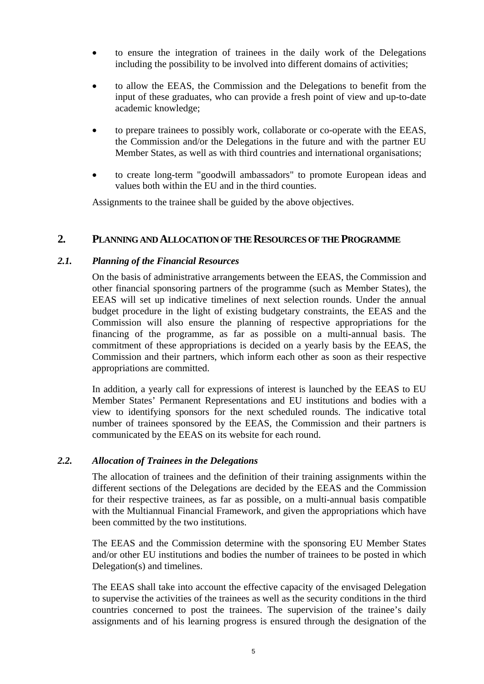- to ensure the integration of trainees in the daily work of the Delegations including the possibility to be involved into different domains of activities;
- to allow the EEAS, the Commission and the Delegations to benefit from the input of these graduates, who can provide a fresh point of view and up-to-date academic knowledge;
- to prepare trainees to possibly work, collaborate or co-operate with the EEAS, the Commission and/or the Delegations in the future and with the partner EU Member States, as well as with third countries and international organisations;
- to create long-term "goodwill ambassadors" to promote European ideas and values both within the EU and in the third counties.

Assignments to the trainee shall be guided by the above objectives.

# **2. PLANNING AND ALLOCATION OF THE RESOURCES OF THE PROGRAMME**

### *2.1. Planning of the Financial Resources*

On the basis of administrative arrangements between the EEAS, the Commission and other financial sponsoring partners of the programme (such as Member States), the EEAS will set up indicative timelines of next selection rounds. Under the annual budget procedure in the light of existing budgetary constraints, the EEAS and the Commission will also ensure the planning of respective appropriations for the financing of the programme, as far as possible on a multi-annual basis. The commitment of these appropriations is decided on a yearly basis by the EEAS, the Commission and their partners, which inform each other as soon as their respective appropriations are committed.

In addition, a yearly call for expressions of interest is launched by the EEAS to EU Member States' Permanent Representations and EU institutions and bodies with a view to identifying sponsors for the next scheduled rounds. The indicative total number of trainees sponsored by the EEAS, the Commission and their partners is communicated by the EEAS on its website for each round.

### *2.2. Allocation of Trainees in the Delegations*

The allocation of trainees and the definition of their training assignments within the different sections of the Delegations are decided by the EEAS and the Commission for their respective trainees, as far as possible, on a multi-annual basis compatible with the Multiannual Financial Framework, and given the appropriations which have been committed by the two institutions.

The EEAS and the Commission determine with the sponsoring EU Member States and/or other EU institutions and bodies the number of trainees to be posted in which Delegation(s) and timelines.

The EEAS shall take into account the effective capacity of the envisaged Delegation to supervise the activities of the trainees as well as the security conditions in the third countries concerned to post the trainees. The supervision of the trainee's daily assignments and of his learning progress is ensured through the designation of the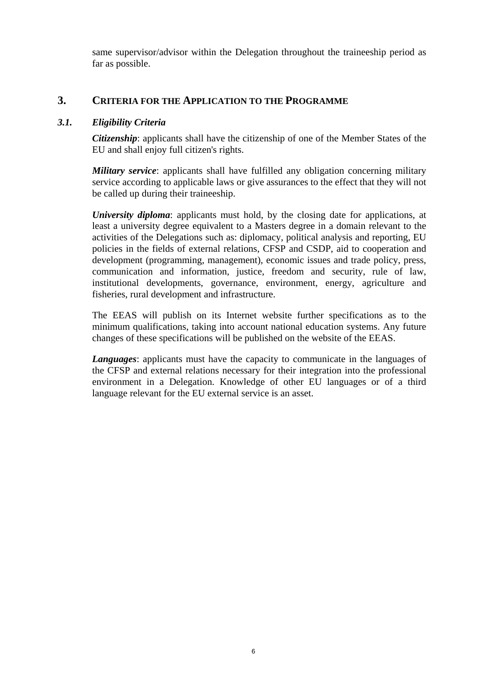same supervisor/advisor within the Delegation throughout the traineeship period as far as possible.

# **3. CRITERIA FOR THE APPLICATION TO THE PROGRAMME**

### *3.1. Eligibility Criteria*

*Citizenship*: applicants shall have the citizenship of one of the Member States of the EU and shall enjoy full citizen's rights.

*Military service*: applicants shall have fulfilled any obligation concerning military service according to applicable laws or give assurances to the effect that they will not be called up during their traineeship.

*University diploma*: applicants must hold, by the closing date for applications, at least a university degree equivalent to a Masters degree in a domain relevant to the activities of the Delegations such as: diplomacy, political analysis and reporting, EU policies in the fields of external relations, CFSP and CSDP, aid to cooperation and development (programming, management), economic issues and trade policy, press, communication and information, justice, freedom and security, rule of law, institutional developments, governance, environment, energy, agriculture and fisheries, rural development and infrastructure.

The EEAS will publish on its Internet website further specifications as to the minimum qualifications, taking into account national education systems. Any future changes of these specifications will be published on the website of the EEAS.

*Languages*: applicants must have the capacity to communicate in the languages of the CFSP and external relations necessary for their integration into the professional environment in a Delegation. Knowledge of other EU languages or of a third language relevant for the EU external service is an asset.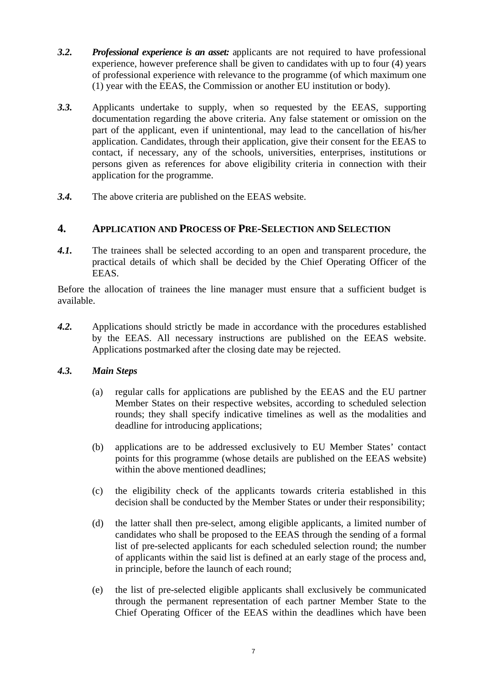- *3.2. Professional experience is an asset:* applicants are not required to have professional experience, however preference shall be given to candidates with up to four (4) years of professional experience with relevance to the programme (of which maximum one (1) year with the EEAS, the Commission or another EU institution or body).
- *3.3.* Applicants undertake to supply, when so requested by the EEAS, supporting documentation regarding the above criteria. Any false statement or omission on the part of the applicant, even if unintentional, may lead to the cancellation of his/her application. Candidates, through their application, give their consent for the EEAS to contact, if necessary, any of the schools, universities, enterprises, institutions or persons given as references for above eligibility criteria in connection with their application for the programme.
- *3.4.* The above criteria are published on the EEAS website.

# **4. APPLICATION AND PROCESS OF PRE-SELECTION AND SELECTION**

*4.1.* The trainees shall be selected according to an open and transparent procedure, the practical details of which shall be decided by the Chief Operating Officer of the EEAS.

Before the allocation of trainees the line manager must ensure that a sufficient budget is available.

*4.2.* Applications should strictly be made in accordance with the procedures established by the EEAS. All necessary instructions are published on the EEAS website. Applications postmarked after the closing date may be rejected.

# *4.3. Main Steps*

- (a) regular calls for applications are published by the EEAS and the EU partner Member States on their respective websites, according to scheduled selection rounds; they shall specify indicative timelines as well as the modalities and deadline for introducing applications;
- (b) applications are to be addressed exclusively to EU Member States' contact points for this programme (whose details are published on the EEAS website) within the above mentioned deadlines:
- (c) the eligibility check of the applicants towards criteria established in this decision shall be conducted by the Member States or under their responsibility;
- (d) the latter shall then pre-select, among eligible applicants, a limited number of candidates who shall be proposed to the EEAS through the sending of a formal list of pre-selected applicants for each scheduled selection round; the number of applicants within the said list is defined at an early stage of the process and, in principle, before the launch of each round;
- (e) the list of pre-selected eligible applicants shall exclusively be communicated through the permanent representation of each partner Member State to the Chief Operating Officer of the EEAS within the deadlines which have been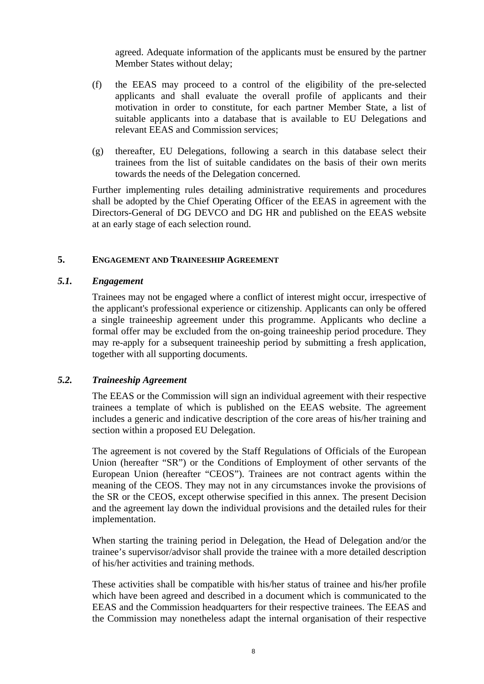agreed. Adequate information of the applicants must be ensured by the partner Member States without delay;

- (f) the EEAS may proceed to a control of the eligibility of the pre-selected applicants and shall evaluate the overall profile of applicants and their motivation in order to constitute, for each partner Member State, a list of suitable applicants into a database that is available to EU Delegations and relevant EEAS and Commission services;
- (g) thereafter, EU Delegations, following a search in this database select their trainees from the list of suitable candidates on the basis of their own merits towards the needs of the Delegation concerned.

Further implementing rules detailing administrative requirements and procedures shall be adopted by the Chief Operating Officer of the EEAS in agreement with the Directors-General of DG DEVCO and DG HR and published on the EEAS website at an early stage of each selection round.

#### **5. ENGAGEMENT AND TRAINEESHIP AGREEMENT**

#### *5.1. Engagement*

Trainees may not be engaged where a conflict of interest might occur, irrespective of the applicant's professional experience or citizenship. Applicants can only be offered a single traineeship agreement under this programme. Applicants who decline a formal offer may be excluded from the on-going traineeship period procedure. They may re-apply for a subsequent traineeship period by submitting a fresh application, together with all supporting documents.

### *5.2. Traineeship Agreement*

The EEAS or the Commission will sign an individual agreement with their respective trainees a template of which is published on the EEAS website. The agreement includes a generic and indicative description of the core areas of his/her training and section within a proposed EU Delegation.

The agreement is not covered by the Staff Regulations of Officials of the European Union (hereafter "SR") or the Conditions of Employment of other servants of the European Union (hereafter "CEOS"). Trainees are not contract agents within the meaning of the CEOS. They may not in any circumstances invoke the provisions of the SR or the CEOS, except otherwise specified in this annex. The present Decision and the agreement lay down the individual provisions and the detailed rules for their implementation.

When starting the training period in Delegation, the Head of Delegation and/or the trainee's supervisor/advisor shall provide the trainee with a more detailed description of his/her activities and training methods.

These activities shall be compatible with his/her status of trainee and his/her profile which have been agreed and described in a document which is communicated to the EEAS and the Commission headquarters for their respective trainees. The EEAS and the Commission may nonetheless adapt the internal organisation of their respective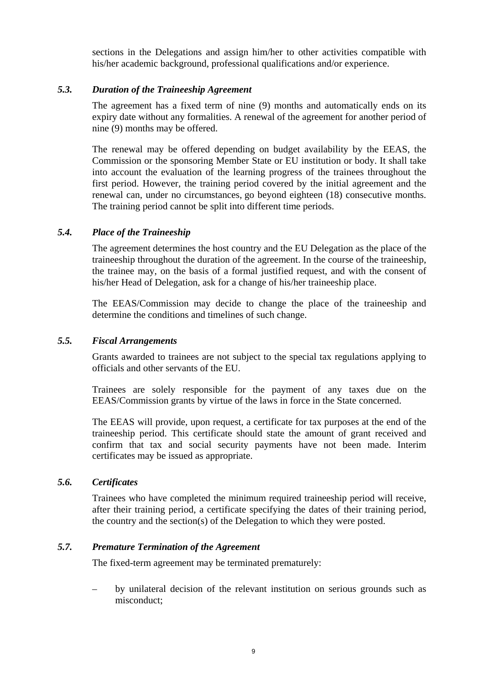sections in the Delegations and assign him/her to other activities compatible with his/her academic background, professional qualifications and/or experience.

### *5.3. Duration of the Traineeship Agreement*

The agreement has a fixed term of nine (9) months and automatically ends on its expiry date without any formalities. A renewal of the agreement for another period of nine (9) months may be offered.

The renewal may be offered depending on budget availability by the EEAS, the Commission or the sponsoring Member State or EU institution or body. It shall take into account the evaluation of the learning progress of the trainees throughout the first period. However, the training period covered by the initial agreement and the renewal can, under no circumstances, go beyond eighteen (18) consecutive months. The training period cannot be split into different time periods.

#### *5.4. Place of the Traineeship*

The agreement determines the host country and the EU Delegation as the place of the traineeship throughout the duration of the agreement. In the course of the traineeship, the trainee may, on the basis of a formal justified request, and with the consent of his/her Head of Delegation, ask for a change of his/her traineeship place.

The EEAS/Commission may decide to change the place of the traineeship and determine the conditions and timelines of such change.

#### *5.5. Fiscal Arrangements*

Grants awarded to trainees are not subject to the special tax regulations applying to officials and other servants of the EU.

Trainees are solely responsible for the payment of any taxes due on the EEAS/Commission grants by virtue of the laws in force in the State concerned.

The EEAS will provide, upon request, a certificate for tax purposes at the end of the traineeship period. This certificate should state the amount of grant received and confirm that tax and social security payments have not been made. Interim certificates may be issued as appropriate.

#### *5.6. Certificates*

Trainees who have completed the minimum required traineeship period will receive, after their training period, a certificate specifying the dates of their training period, the country and the section(s) of the Delegation to which they were posted.

### *5.7. Premature Termination of the Agreement*

The fixed-term agreement may be terminated prematurely:

– by unilateral decision of the relevant institution on serious grounds such as misconduct;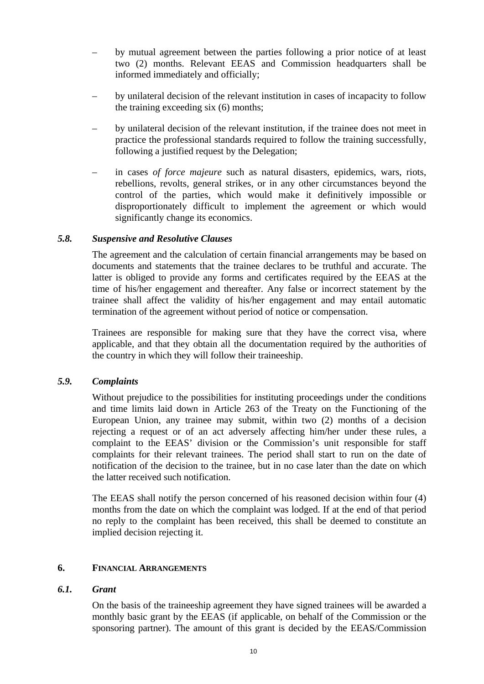- by mutual agreement between the parties following a prior notice of at least two (2) months. Relevant EEAS and Commission headquarters shall be informed immediately and officially;
- by unilateral decision of the relevant institution in cases of incapacity to follow the training exceeding six (6) months;
- by unilateral decision of the relevant institution, if the trainee does not meet in practice the professional standards required to follow the training successfully, following a justified request by the Delegation;
- in cases *of force majeure* such as natural disasters, epidemics, wars, riots, rebellions, revolts, general strikes, or in any other circumstances beyond the control of the parties, which would make it definitively impossible or disproportionately difficult to implement the agreement or which would significantly change its economics.

### *5.8. Suspensive and Resolutive Clauses*

The agreement and the calculation of certain financial arrangements may be based on documents and statements that the trainee declares to be truthful and accurate. The latter is obliged to provide any forms and certificates required by the EEAS at the time of his/her engagement and thereafter. Any false or incorrect statement by the trainee shall affect the validity of his/her engagement and may entail automatic termination of the agreement without period of notice or compensation.

Trainees are responsible for making sure that they have the correct visa, where applicable, and that they obtain all the documentation required by the authorities of the country in which they will follow their traineeship.

### *5.9. Complaints*

Without prejudice to the possibilities for instituting proceedings under the conditions and time limits laid down in Article 263 of the Treaty on the Functioning of the European Union, any trainee may submit, within two (2) months of a decision rejecting a request or of an act adversely affecting him/her under these rules, a complaint to the EEAS' division or the Commission's unit responsible for staff complaints for their relevant trainees. The period shall start to run on the date of notification of the decision to the trainee, but in no case later than the date on which the latter received such notification.

The EEAS shall notify the person concerned of his reasoned decision within four (4) months from the date on which the complaint was lodged. If at the end of that period no reply to the complaint has been received, this shall be deemed to constitute an implied decision rejecting it.

### **6. FINANCIAL ARRANGEMENTS**

### *6.1. Grant*

On the basis of the traineeship agreement they have signed trainees will be awarded a monthly basic grant by the EEAS (if applicable, on behalf of the Commission or the sponsoring partner). The amount of this grant is decided by the EEAS/Commission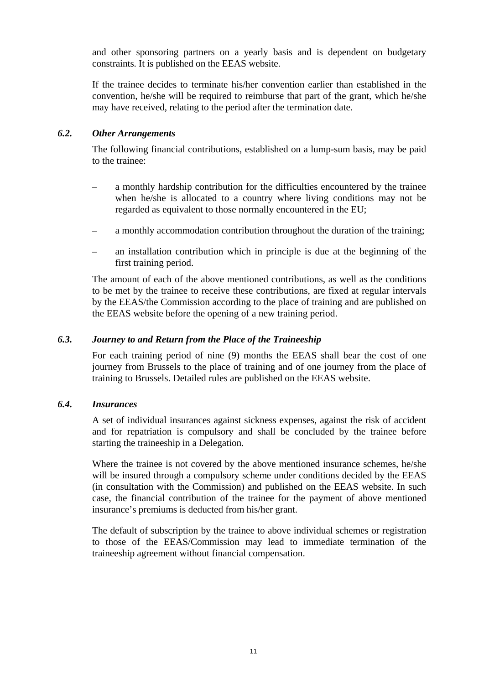and other sponsoring partners on a yearly basis and is dependent on budgetary constraints. It is published on the EEAS website.

If the trainee decides to terminate his/her convention earlier than established in the convention, he/she will be required to reimburse that part of the grant, which he/she may have received, relating to the period after the termination date.

### *6.2. Other Arrangements*

The following financial contributions, established on a lump-sum basis, may be paid to the trainee:

- a monthly hardship contribution for the difficulties encountered by the trainee when he/she is allocated to a country where living conditions may not be regarded as equivalent to those normally encountered in the EU;
- a monthly accommodation contribution throughout the duration of the training;
- an installation contribution which in principle is due at the beginning of the first training period.

The amount of each of the above mentioned contributions, as well as the conditions to be met by the trainee to receive these contributions, are fixed at regular intervals by the EEAS/the Commission according to the place of training and are published on the EEAS website before the opening of a new training period.

### *6.3. Journey to and Return from the Place of the Traineeship*

For each training period of nine (9) months the EEAS shall bear the cost of one journey from Brussels to the place of training and of one journey from the place of training to Brussels. Detailed rules are published on the EEAS website.

### *6.4. Insurances*

A set of individual insurances against sickness expenses, against the risk of accident and for repatriation is compulsory and shall be concluded by the trainee before starting the traineeship in a Delegation.

Where the trainee is not covered by the above mentioned insurance schemes, he/she will be insured through a compulsory scheme under conditions decided by the EEAS (in consultation with the Commission) and published on the EEAS website. In such case, the financial contribution of the trainee for the payment of above mentioned insurance's premiums is deducted from his/her grant.

The default of subscription by the trainee to above individual schemes or registration to those of the EEAS/Commission may lead to immediate termination of the traineeship agreement without financial compensation.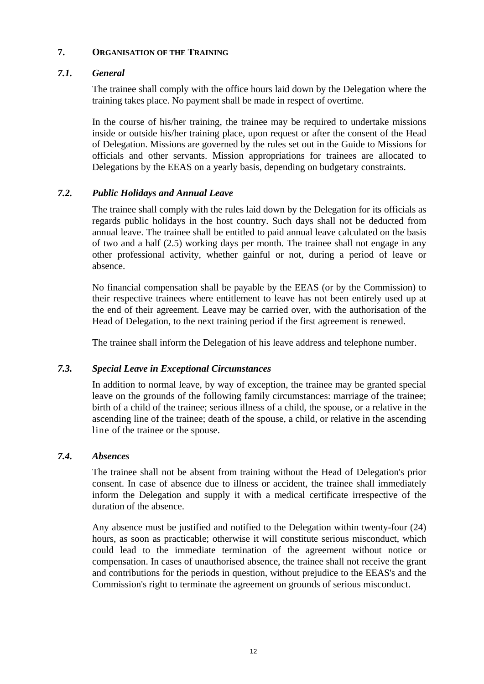### **7. ORGANISATION OF THE TRAINING**

## *7.1. General*

The trainee shall comply with the office hours laid down by the Delegation where the training takes place. No payment shall be made in respect of overtime.

In the course of his/her training, the trainee may be required to undertake missions inside or outside his/her training place, upon request or after the consent of the Head of Delegation. Missions are governed by the rules set out in the Guide to Missions for officials and other servants. Mission appropriations for trainees are allocated to Delegations by the EEAS on a yearly basis, depending on budgetary constraints.

## *7.2. Public Holidays and Annual Leave*

The trainee shall comply with the rules laid down by the Delegation for its officials as regards public holidays in the host country. Such days shall not be deducted from annual leave. The trainee shall be entitled to paid annual leave calculated on the basis of two and a half (2.5) working days per month. The trainee shall not engage in any other professional activity, whether gainful or not, during a period of leave or absence.

No financial compensation shall be payable by the EEAS (or by the Commission) to their respective trainees where entitlement to leave has not been entirely used up at the end of their agreement. Leave may be carried over, with the authorisation of the Head of Delegation, to the next training period if the first agreement is renewed.

The trainee shall inform the Delegation of his leave address and telephone number.

### *7.3. Special Leave in Exceptional Circumstances*

In addition to normal leave, by way of exception, the trainee may be granted special leave on the grounds of the following family circumstances: marriage of the trainee; birth of a child of the trainee; serious illness of a child, the spouse, or a relative in the ascending line of the trainee; death of the spouse, a child, or relative in the ascending line of the trainee or the spouse.

### *7.4. Absences*

The trainee shall not be absent from training without the Head of Delegation's prior consent. In case of absence due to illness or accident, the trainee shall immediately inform the Delegation and supply it with a medical certificate irrespective of the duration of the absence.

Any absence must be justified and notified to the Delegation within twenty-four (24) hours, as soon as practicable; otherwise it will constitute serious misconduct, which could lead to the immediate termination of the agreement without notice or compensation. In cases of unauthorised absence, the trainee shall not receive the grant and contributions for the periods in question, without prejudice to the EEAS's and the Commission's right to terminate the agreement on grounds of serious misconduct.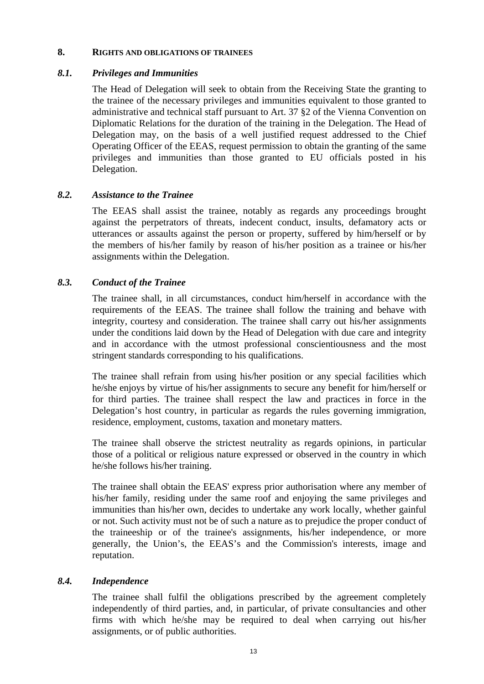#### **8. RIGHTS AND OBLIGATIONS OF TRAINEES**

### *8.1. Privileges and Immunities*

The Head of Delegation will seek to obtain from the Receiving State the granting to the trainee of the necessary privileges and immunities equivalent to those granted to administrative and technical staff pursuant to Art. 37 §2 of the Vienna Convention on Diplomatic Relations for the duration of the training in the Delegation. The Head of Delegation may, on the basis of a well justified request addressed to the Chief Operating Officer of the EEAS, request permission to obtain the granting of the same privileges and immunities than those granted to EU officials posted in his Delegation.

### *8.2. Assistance to the Trainee*

The EEAS shall assist the trainee, notably as regards any proceedings brought against the perpetrators of threats, indecent conduct, insults, defamatory acts or utterances or assaults against the person or property, suffered by him/herself or by the members of his/her family by reason of his/her position as a trainee or his/her assignments within the Delegation.

## *8.3. Conduct of the Trainee*

The trainee shall, in all circumstances, conduct him/herself in accordance with the requirements of the EEAS. The trainee shall follow the training and behave with integrity, courtesy and consideration. The trainee shall carry out his/her assignments under the conditions laid down by the Head of Delegation with due care and integrity and in accordance with the utmost professional conscientiousness and the most stringent standards corresponding to his qualifications.

The trainee shall refrain from using his/her position or any special facilities which he/she enjoys by virtue of his/her assignments to secure any benefit for him/herself or for third parties. The trainee shall respect the law and practices in force in the Delegation's host country, in particular as regards the rules governing immigration, residence, employment, customs, taxation and monetary matters.

The trainee shall observe the strictest neutrality as regards opinions, in particular those of a political or religious nature expressed or observed in the country in which he/she follows his/her training.

The trainee shall obtain the EEAS' express prior authorisation where any member of his/her family, residing under the same roof and enjoying the same privileges and immunities than his/her own, decides to undertake any work locally, whether gainful or not. Such activity must not be of such a nature as to prejudice the proper conduct of the traineeship or of the trainee's assignments, his/her independence, or more generally, the Union's, the EEAS's and the Commission's interests, image and reputation.

## *8.4. Independence*

The trainee shall fulfil the obligations prescribed by the agreement completely independently of third parties, and, in particular, of private consultancies and other firms with which he/she may be required to deal when carrying out his/her assignments, or of public authorities.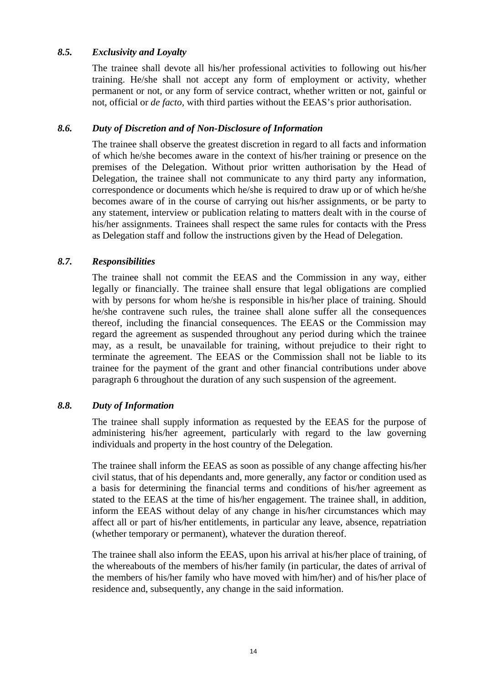### *8.5. Exclusivity and Loyalty*

The trainee shall devote all his/her professional activities to following out his/her training. He/she shall not accept any form of employment or activity, whether permanent or not, or any form of service contract, whether written or not, gainful or not, official or *de facto,* with third parties without the EEAS's prior authorisation.

### *8.6. Duty of Discretion and of Non-Disclosure of Information*

The trainee shall observe the greatest discretion in regard to all facts and information of which he/she becomes aware in the context of his/her training or presence on the premises of the Delegation. Without prior written authorisation by the Head of Delegation, the trainee shall not communicate to any third party any information, correspondence or documents which he/she is required to draw up or of which he/she becomes aware of in the course of carrying out his/her assignments, or be party to any statement, interview or publication relating to matters dealt with in the course of his/her assignments. Trainees shall respect the same rules for contacts with the Press as Delegation staff and follow the instructions given by the Head of Delegation.

### *8.7. Responsibilities*

The trainee shall not commit the EEAS and the Commission in any way, either legally or financially. The trainee shall ensure that legal obligations are complied with by persons for whom he/she is responsible in his/her place of training. Should he/she contravene such rules, the trainee shall alone suffer all the consequences thereof, including the financial consequences. The EEAS or the Commission may regard the agreement as suspended throughout any period during which the trainee may, as a result, be unavailable for training, without prejudice to their right to terminate the agreement. The EEAS or the Commission shall not be liable to its trainee for the payment of the grant and other financial contributions under above paragraph 6 throughout the duration of any such suspension of the agreement.

## *8.8. Duty of Information*

The trainee shall supply information as requested by the EEAS for the purpose of administering his/her agreement, particularly with regard to the law governing individuals and property in the host country of the Delegation.

The trainee shall inform the EEAS as soon as possible of any change affecting his/her civil status, that of his dependants and, more generally, any factor or condition used as a basis for determining the financial terms and conditions of his/her agreement as stated to the EEAS at the time of his/her engagement. The trainee shall, in addition, inform the EEAS without delay of any change in his/her circumstances which may affect all or part of his/her entitlements, in particular any leave, absence, repatriation (whether temporary or permanent), whatever the duration thereof.

The trainee shall also inform the EEAS, upon his arrival at his/her place of training, of the whereabouts of the members of his/her family (in particular, the dates of arrival of the members of his/her family who have moved with him/her) and of his/her place of residence and, subsequently, any change in the said information.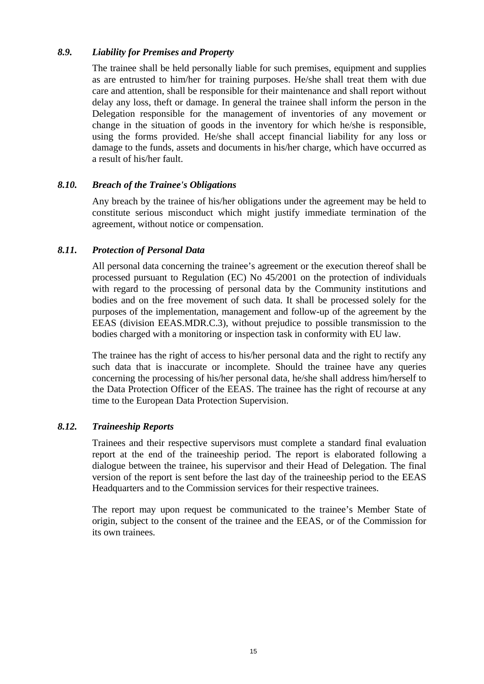### *8.9. Liability for Premises and Property*

The trainee shall be held personally liable for such premises, equipment and supplies as are entrusted to him/her for training purposes. He/she shall treat them with due care and attention, shall be responsible for their maintenance and shall report without delay any loss, theft or damage. In general the trainee shall inform the person in the Delegation responsible for the management of inventories of any movement or change in the situation of goods in the inventory for which he/she is responsible, using the forms provided. He/she shall accept financial liability for any loss or damage to the funds, assets and documents in his/her charge, which have occurred as a result of his/her fault.

### *8.10. Breach of the Trainee's Obligations*

Any breach by the trainee of his/her obligations under the agreement may be held to constitute serious misconduct which might justify immediate termination of the agreement, without notice or compensation.

### *8.11. Protection of Personal Data*

All personal data concerning the trainee's agreement or the execution thereof shall be processed pursuant to Regulation (EC) No 45/2001 on the protection of individuals with regard to the processing of personal data by the Community institutions and bodies and on the free movement of such data. It shall be processed solely for the purposes of the implementation, management and follow-up of the agreement by the EEAS (division EEAS.MDR.C.3), without prejudice to possible transmission to the bodies charged with a monitoring or inspection task in conformity with EU law.

The trainee has the right of access to his/her personal data and the right to rectify any such data that is inaccurate or incomplete. Should the trainee have any queries concerning the processing of his/her personal data, he/she shall address him/herself to the Data Protection Officer of the EEAS. The trainee has the right of recourse at any time to the European Data Protection Supervision.

### *8.12. Traineeship Reports*

Trainees and their respective supervisors must complete a standard final evaluation report at the end of the traineeship period. The report is elaborated following a dialogue between the trainee, his supervisor and their Head of Delegation. The final version of the report is sent before the last day of the traineeship period to the EEAS Headquarters and to the Commission services for their respective trainees.

The report may upon request be communicated to the trainee's Member State of origin, subject to the consent of the trainee and the EEAS, or of the Commission for its own trainees.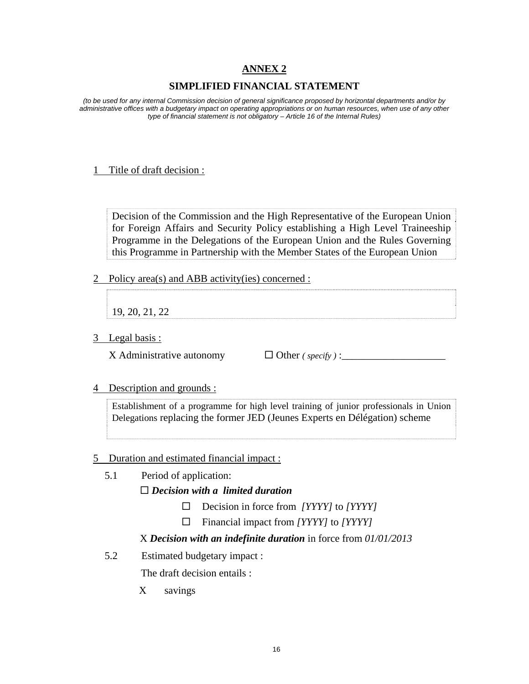## **ANNEX 2**

## **SIMPLIFIED FINANCIAL STATEMENT**

*(to be used for any internal Commission decision of general significance proposed by horizontal departments and/or by administrative offices with a budgetary impact on operating appropriations or on human resources, when use of any other type of financial statement is not obligatory – Article 16 of the Internal Rules)* 

#### 1 Title of draft decision :

Decision of the Commission and the High Representative of the European Union for Foreign Affairs and Security Policy establishing a High Level Traineeship Programme in the Delegations of the European Union and the Rules Governing this Programme in Partnership with the Member States of the European Union

2 Policy area(s) and ABB activity(ies) concerned :

19, 20, 21, 22

3 Legal basis :

X Administrative autonomy Other *( specify )* :\_\_\_\_\_\_\_\_\_\_\_\_\_\_\_\_\_\_\_\_

4 Description and grounds :

Establishment of a programme for high level training of junior professionals in Union Delegations replacing the former JED (Jeunes Experts en Délégation) scheme

### 5 Duration and estimated financial impact :

- 5.1 Period of application:  *Decision with a limited duration* 
	- Decision in force from *[YYYY]* to *[YYYY]*
	- Financial impact from *[YYYY]* to *[YYYY]*

## X *Decision with an indefinite duration* in force from *01/01/2013*

5.2 Estimated budgetary impact :

The draft decision entails :

X savings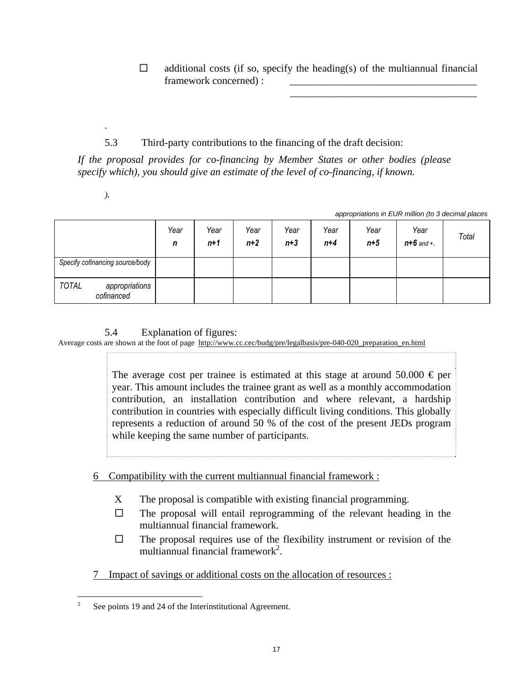$\Box$  additional costs (if so, specify the heading(s) of the multiannual financial framework concerned) :

 $\overline{\phantom{a}}$  , and the contract of the contract of the contract of the contract of the contract of the contract of the contract of the contract of the contract of the contract of the contract of the contract of the contrac

# 5.3 Third-party contributions to the financing of the draft decision:

*If the proposal provides for co-financing by Member States or other bodies (please specify which), you should give an estimate of the level of co-financing, if known.* 

*).* 

*.* 

| appropriations in EUR million (to 3 decimal places |  |
|----------------------------------------------------|--|

|                                              | Year<br>n | Year<br>n+1 | Year<br>$n+2$ | Year<br>$n+3$ | Year<br>$n+4$ | Year<br>$n+5$ | Year<br>$n + 6$ and +. | Total |
|----------------------------------------------|-----------|-------------|---------------|---------------|---------------|---------------|------------------------|-------|
| Specify cofinancing source/body              |           |             |               |               |               |               |                        |       |
| <b>TOTAL</b><br>appropriations<br>cofinanced |           |             |               |               |               |               |                        |       |

# 5.4 Explanation of figures:

Average costs are shown at the foot of page http://www.cc.cec/budg/pre/legalbasis/pre-040-020 preparation en.html

The average cost per trainee is estimated at this stage at around 50.000  $\epsilon$  per year. This amount includes the trainee grant as well as a monthly accommodation contribution, an installation contribution and where relevant, a hardship contribution in countries with especially difficult living conditions. This globally represents a reduction of around 50 % of the cost of the present JEDs program while keeping the same number of participants.

# 6 Compatibility with the current multiannual financial framework :

- X The proposal is compatible with existing financial programming.
- $\Box$  The proposal will entail reprogramming of the relevant heading in the multiannual financial framework.
- $\Box$  The proposal requires use of the flexibility instrument or revision of the multiannual financial framework<sup>2</sup>.
- 7 Impact of savings or additional costs on the allocation of resources :

 $\frac{1}{2}$ See points 19 and 24 of the Interinstitutional Agreement.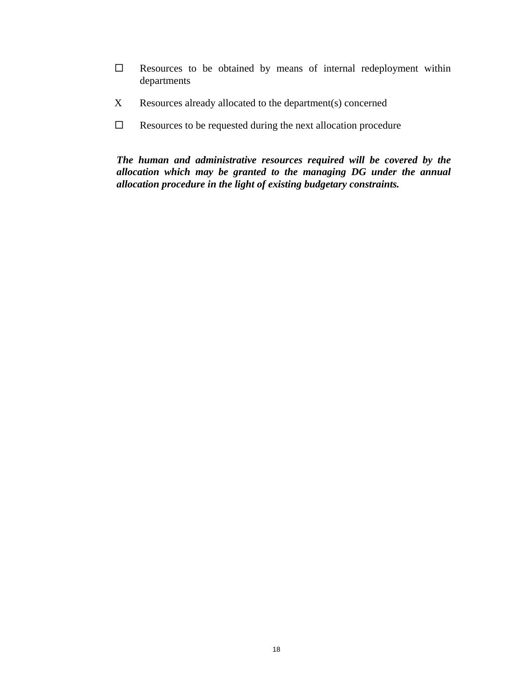- $\square$  Resources to be obtained by means of internal redeployment within departments
- X Resources already allocated to the department(s) concerned
- $\Box$  Resources to be requested during the next allocation procedure

*The human and administrative resources required will be covered by the allocation which may be granted to the managing DG under the annual allocation procedure in the light of existing budgetary constraints.*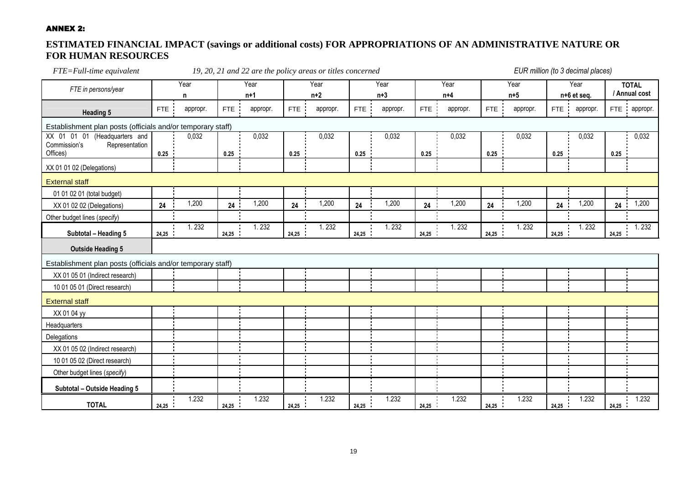#### ANNEX 2:

## **ESTIMATED FINANCIAL IMPACT (savings or additional costs) FOR APPROPRIATIONS OF AN ADMINISTRATIVE NATURE OR FOR HUMAN RESOURCES**

| FTE=Full-time equivalent                                              | 19, 20, 21 and 22 are the policy areas or titles concerned |           |            |               |       |               |            | EUR million (to 3 decimal places) |            |               |            |               |                  |                     |       |                               |
|-----------------------------------------------------------------------|------------------------------------------------------------|-----------|------------|---------------|-------|---------------|------------|-----------------------------------|------------|---------------|------------|---------------|------------------|---------------------|-------|-------------------------------|
| FTE in persons/year                                                   |                                                            | Year<br>n |            | Year<br>$n+1$ |       | Year<br>$n+2$ |            | Year<br>$n+3$                     |            | Year<br>$n+4$ |            | Year<br>$n+5$ |                  | Year<br>n+6 et seq. |       | <b>TOTAL</b><br>/ Annual cost |
| <b>Heading 5</b>                                                      | <b>FTE</b>                                                 | appropr.  | <b>FTE</b> | appropr.      | FTE   | appropr.      | <b>FTE</b> | appropr.                          | <b>FTE</b> | appropr.      | <b>FTE</b> | appropr.      | <b>FTE</b><br>п. | appropr.            |       | FTE : appropr.                |
| Establishment plan posts (officials and/or temporary staff)           |                                                            |           |            |               |       |               |            |                                   |            |               |            |               |                  |                     |       |                               |
| XX 01<br>01 01<br>(Headquarters and<br>Commission's<br>Representation |                                                            | 0,032     |            | 0,032         |       | 0,032         |            | 0,032                             |            | 0,032         |            | 0,032         |                  | 0,032               |       | 0,032                         |
| Offices)                                                              | 0.25                                                       |           | 0.25       |               | 0.25  |               | 0.25       |                                   | 0.25       |               | 0.25       |               | 0.25             |                     | 0.25  |                               |
| XX 01 01 02 (Delegations)                                             |                                                            |           |            |               |       |               |            |                                   |            |               |            |               |                  |                     |       |                               |
| <b>External staff</b>                                                 |                                                            |           |            |               |       |               |            |                                   |            |               |            |               |                  |                     |       |                               |
| 01 01 02 01 (total budget)                                            |                                                            |           |            |               |       |               |            |                                   |            |               |            |               |                  |                     |       |                               |
| XX 01 02 02 (Delegations)                                             | 24                                                         | 1,200     | 24         | 1,200         | 24    | 1,200         | 24         | 1,200                             | 24         | 1,200         | 24         | 1,200         | 24               | 1,200               | 24    | 1,200                         |
| Other budget lines (specify)                                          |                                                            |           |            |               |       |               |            |                                   |            |               |            |               |                  |                     |       |                               |
| Subtotal - Heading 5                                                  | 24,25                                                      | 1.232     | 24,25      | 1.232         | 24,25 | 1.232         | 24,25      | 1.232                             | 24,25      | 1.232         | 24,25      | 1.232         | 24,25            | 1.232               | 24,25 | 1.232                         |
| <b>Outside Heading 5</b>                                              |                                                            |           |            |               |       |               |            |                                   |            |               |            |               |                  |                     |       |                               |
| Establishment plan posts (officials and/or temporary staff)           |                                                            |           |            |               |       |               |            |                                   |            |               |            |               |                  |                     |       |                               |
| XX 01 05 01 (Indirect research)                                       |                                                            |           |            |               |       |               |            |                                   |            |               |            |               |                  |                     |       |                               |
| 10 01 05 01 (Direct research)                                         |                                                            |           |            |               |       |               |            |                                   |            |               |            |               |                  |                     |       |                               |
| <b>External staff</b>                                                 |                                                            |           |            |               |       |               |            |                                   |            |               |            |               |                  |                     |       |                               |
| XX 01 04 yy                                                           |                                                            |           |            |               |       |               |            |                                   |            |               |            |               |                  |                     |       |                               |
| Headquarters                                                          |                                                            |           |            |               |       |               |            |                                   |            |               |            |               |                  |                     |       |                               |
| Delegations                                                           |                                                            |           |            |               |       |               |            |                                   |            |               |            |               |                  |                     |       |                               |
| XX 01 05 02 (Indirect research)                                       |                                                            |           |            |               |       |               |            |                                   |            |               |            |               |                  |                     |       |                               |
| 10 01 05 02 (Direct research)                                         |                                                            |           |            |               |       |               |            |                                   |            |               |            |               |                  |                     |       |                               |
| Other budget lines (specify)                                          |                                                            |           |            |               |       |               |            |                                   |            |               |            |               |                  |                     |       |                               |
| Subtotal - Outside Heading 5                                          |                                                            |           |            |               |       |               |            |                                   |            |               |            |               |                  |                     |       |                               |
| <b>TOTAL</b>                                                          | 24.25                                                      | 1.232     | 24.25      | 1.232         | 24.25 | 1.232         | 24.25      | 1.232                             | 24.25      | 1.232         | 24.25      | 1.232         | 24.25            | 1.232               | 24.25 | 1.232                         |